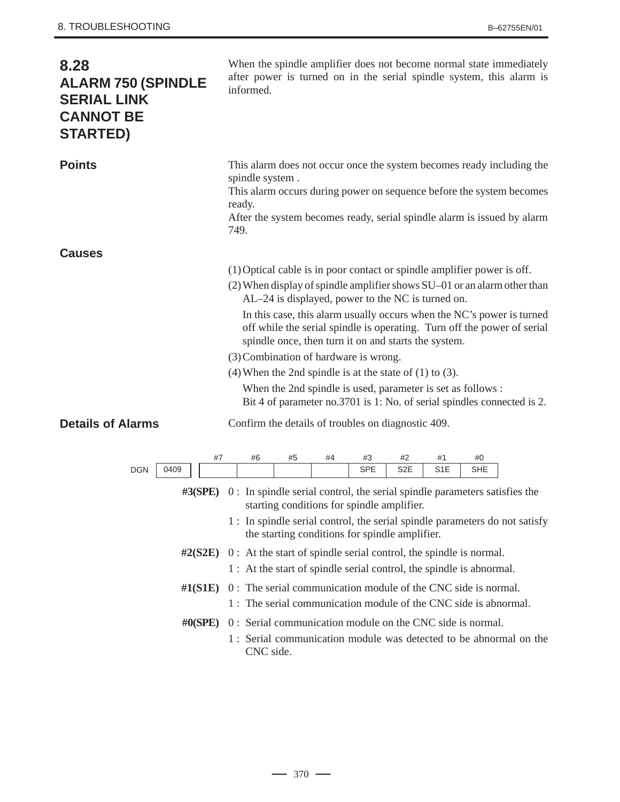| 8.28<br><b>ALARM 750 (SPINDLE</b><br><b>SERIAL LINK</b><br><b>CANNOT BE</b><br><b>STARTED)</b> | When the spindle amplifier does not become normal state immediately<br>after power is turned on in the serial spindle system, this alarm is<br>informed.                                                                                                                                                                                                                                                                                                                                                                                                                                                                                                                  |
|------------------------------------------------------------------------------------------------|---------------------------------------------------------------------------------------------------------------------------------------------------------------------------------------------------------------------------------------------------------------------------------------------------------------------------------------------------------------------------------------------------------------------------------------------------------------------------------------------------------------------------------------------------------------------------------------------------------------------------------------------------------------------------|
| <b>Points</b>                                                                                  | This alarm does not occur once the system becomes ready including the<br>spindle system.<br>This alarm occurs during power on sequence before the system becomes<br>ready.<br>After the system becomes ready, serial spindle alarm is issued by alarm<br>749.                                                                                                                                                                                                                                                                                                                                                                                                             |
| <b>Causes</b>                                                                                  |                                                                                                                                                                                                                                                                                                                                                                                                                                                                                                                                                                                                                                                                           |
|                                                                                                | (1) Optical cable is in poor contact or spindle amplifier power is off.<br>(2) When display of spindle amplifier shows SU-01 or an alarm other than<br>AL-24 is displayed, power to the NC is turned on.<br>In this case, this alarm usually occurs when the NC's power is turned<br>off while the serial spindle is operating. Turn off the power of serial<br>spindle once, then turn it on and starts the system.<br>(3) Combination of hardware is wrong.<br>$(4)$ When the 2nd spindle is at the state of $(1)$ to $(3)$ .<br>When the 2nd spindle is used, parameter is set as follows :<br>Bit 4 of parameter no.3701 is 1: No. of serial spindles connected is 2. |
| <b>Details of Alarms</b>                                                                       | Confirm the details of troubles on diagnostic 409.                                                                                                                                                                                                                                                                                                                                                                                                                                                                                                                                                                                                                        |
| #7<br>0409<br><b>DGN</b><br>$\#3(SPE)$                                                         | #6<br>#5<br>#4<br>#3<br>#2<br>#1<br>#0<br><b>SPE</b><br>S <sub>2</sub> E<br>S1E<br>SHE<br>0 : In spindle serial control, the serial spindle parameters satisfies the<br>starting conditions for spindle amplifier.<br>1 : In spindle serial control, the serial spindle parameters do not satisfy<br>the starting conditions for spindle amplifier.                                                                                                                                                                                                                                                                                                                       |
|                                                                                                | $\#2(S2E)$ 0: At the start of spindle serial control, the spindle is normal.                                                                                                                                                                                                                                                                                                                                                                                                                                                                                                                                                                                              |
|                                                                                                | 1 : At the start of spindle serial control, the spindle is abnormal.                                                                                                                                                                                                                                                                                                                                                                                                                                                                                                                                                                                                      |
| $\#1(S1E)$                                                                                     | 0: The serial communication module of the CNC side is normal.<br>1: The serial communication module of the CNC side is abnormal.                                                                                                                                                                                                                                                                                                                                                                                                                                                                                                                                          |
| # $0(SPE)$                                                                                     | 0: Serial communication module on the CNC side is normal.                                                                                                                                                                                                                                                                                                                                                                                                                                                                                                                                                                                                                 |
|                                                                                                | 1: Serial communication module was detected to be abnormal on the<br>CNC side.                                                                                                                                                                                                                                                                                                                                                                                                                                                                                                                                                                                            |

 $-370 -$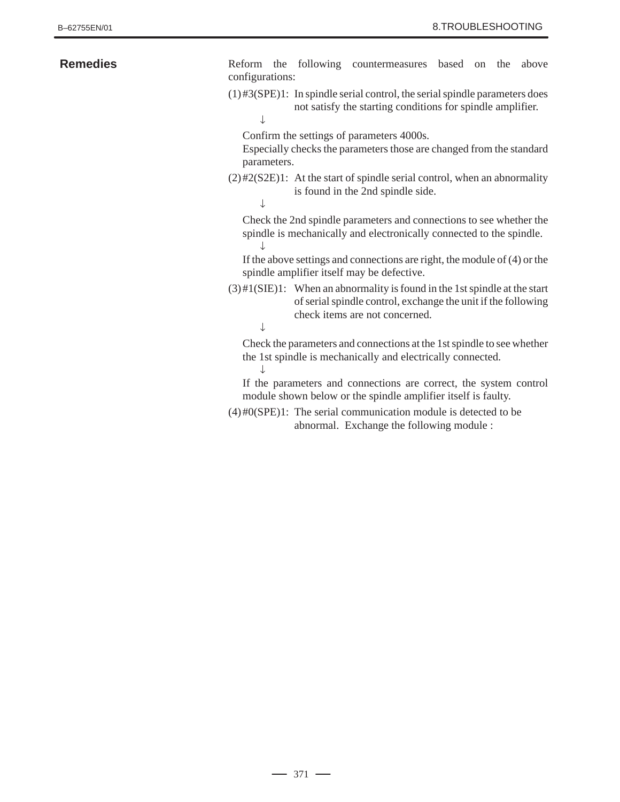| <b>Remedies</b> | Reform the following countermeasures based on the<br>above<br>configurations:                                                                                                        |
|-----------------|--------------------------------------------------------------------------------------------------------------------------------------------------------------------------------------|
|                 | $(1)$ #3(SPE)1: In spindle serial control, the serial spindle parameters does<br>not satisfy the starting conditions for spindle amplifier.                                          |
|                 | Confirm the settings of parameters 4000s.<br>Especially checks the parameters those are changed from the standard<br>parameters.                                                     |
|                 | $(2)$ #2(S2E)1: At the start of spindle serial control, when an abnormality<br>is found in the 2nd spindle side.                                                                     |
|                 | Check the 2nd spindle parameters and connections to see whether the<br>spindle is mechanically and electronically connected to the spindle.                                          |
|                 | If the above settings and connections are right, the module of $(4)$ or the<br>spindle amplifier itself may be defective.                                                            |
|                 | $(3)$ #1(SIE)1: When an abnormality is found in the 1st spindle at the start<br>of serial spindle control, exchange the unit if the following<br>check items are not concerned.<br>↓ |
|                 | Check the parameters and connections at the 1st spindle to see whether<br>the 1st spindle is mechanically and electrically connected.                                                |
|                 | If the parameters and connections are correct, the system control<br>module shown below or the spindle amplifier itself is faulty.                                                   |
|                 | $(4)$ #0(SPE)1: The serial communication module is detected to be                                                                                                                    |

abnormal. Exchange the following module :